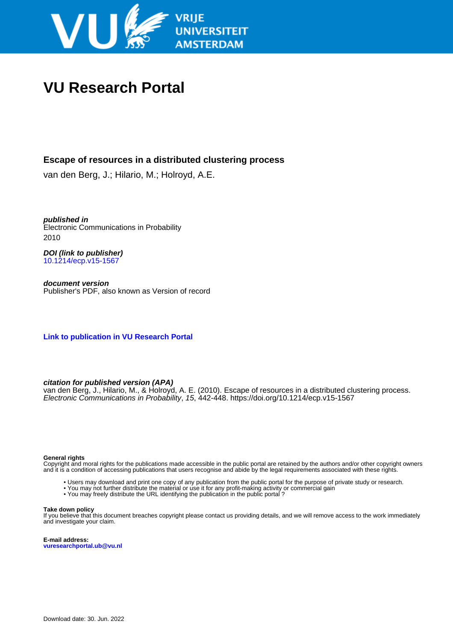

# **VU Research Portal**

# **Escape of resources in a distributed clustering process**

van den Berg, J.; Hilario, M.; Holroyd, A.E.

**published in** Electronic Communications in Probability 2010

**DOI (link to publisher)** [10.1214/ecp.v15-1567](https://doi.org/10.1214/ecp.v15-1567)

**document version** Publisher's PDF, also known as Version of record

**[Link to publication in VU Research Portal](https://research.vu.nl/en/publications/8074de45-20bf-419b-be04-33feab6e1520)**

## **citation for published version (APA)**

van den Berg, J., Hilario, M., & Holroyd, A. E. (2010). Escape of resources in a distributed clustering process. Electronic Communications in Probability, 15, 442-448. <https://doi.org/10.1214/ecp.v15-1567>

#### **General rights**

Copyright and moral rights for the publications made accessible in the public portal are retained by the authors and/or other copyright owners and it is a condition of accessing publications that users recognise and abide by the legal requirements associated with these rights.

- Users may download and print one copy of any publication from the public portal for the purpose of private study or research.
- You may not further distribute the material or use it for any profit-making activity or commercial gain
- You may freely distribute the URL identifying the publication in the public portal ?

#### **Take down policy**

If you believe that this document breaches copyright please contact us providing details, and we will remove access to the work immediately and investigate your claim.

**E-mail address: vuresearchportal.ub@vu.nl**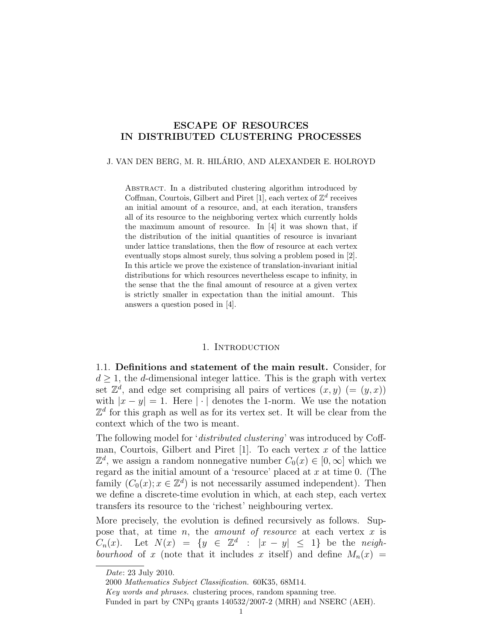### **ESCAPE OF RESOURCES IN DISTRIBUTED CLUSTERING PROCESSES**

J. VAN DEN BERG, M. R. HILÁRIO, AND ALEXANDER E. HOLROYD

Abstract. In a distributed clustering algorithm introduced by Coffman, Courtois, Gilbert and Piret [1], each vertex of  $\mathbb{Z}^d$  receives an initial amount of a resource, and, at each iteration, transfers all of its resource to the neighboring vertex which currently holds the maximum amount of resource. In [4] it was shown that, if the distribution of the initial quantities of resource is invariant under lattice translations, then the flow of resource at each vertex eventually stops almost surely, thus solving a problem posed in [2]. In this article we prove the existence of translation-invariant initial distributions for which resources nevertheless escape to infinity, in the sense that the the final amount of resource at a given vertex is strictly smaller in expectation than the initial amount. This answers a question posed in [4].

#### 1. INTRODUCTION

1.1. **Definitions and statement of the main result.** Consider, for  $d \geq 1$ , the *d*-dimensional integer lattice. This is the graph with vertex set  $\mathbb{Z}^d$ , and edge set comprising all pairs of vertices  $(x, y)$  (=  $(y, x)$ ) with  $|x - y| = 1$ . Here  $|\cdot|$  denotes the 1-norm. We use the notation  $\mathbb{Z}^d$  for this graph as well as for its vertex set. It will be clear from the context which of the two is meant.

The following model for '*distributed clustering*' was introduced by Coffman, Courtois, Gilbert and Piret [1]. To each vertex *x* of the lattice  $\mathbb{Z}^d$ , we assign a random nonnegative number  $C_0(x) \in [0, \infty]$  which we regard as the initial amount of a 'resource' placed at *x* at time 0. (The family  $(C_0(x); x \in \mathbb{Z}^d)$  is not necessarily assumed independent). Then we define a discrete-time evolution in which, at each step, each vertex transfers its resource to the 'richest' neighbouring vertex.

More precisely, the evolution is defined recursively as follows. Suppose that, at time *n*, the *amount of resource* at each vertex *x* is  $C_n(x)$ . Let  $N(x) = \{y \in \mathbb{Z}^d : |x - y| \leq 1\}$  be the *neighbourhood* of *x* (note that it includes *x* itself) and define  $M_n(x)$ 

*Key words and phrases.* clustering proces, random spanning tree.

*Date*: 23 July 2010.

<sup>2000</sup> *Mathematics Subject Classification.* 60K35, 68M14.

Funded in part by CNPq grants 140532/2007-2 (MRH) and NSERC (AEH).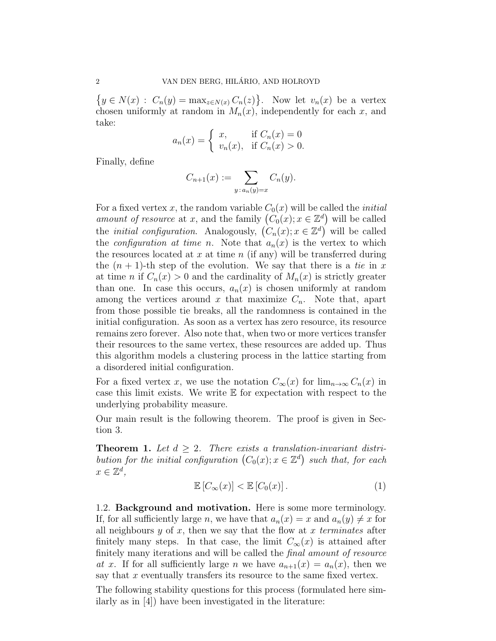$\{y \in N(x) : C_n(y) = \max_{z \in N(x)} C_n(z)\}.$  Now let  $v_n(x)$  be a vertex chosen uniformly at random in  $M_n(x)$ , independently for each x, and take:

$$
a_n(x) = \begin{cases} x, & \text{if } C_n(x) = 0\\ v_n(x), & \text{if } C_n(x) > 0. \end{cases}
$$

Finally, define

$$
C_{n+1}(x) := \sum_{y \,:\, a_n(y)=x} C_n(y).
$$

For a fixed vertex x, the random variable  $C_0(x)$  will be called the *initial amount of resource* at *x*, and the family  $(C_0(x); x \in \mathbb{Z}^d)$  will be called the *initial configuration*. Analogously,  $(C_n(x); x \in \mathbb{Z}^d)$  will be called the *configuration at time n*. Note that  $a_n(x)$  is the vertex to which the resources located at *x* at time *n* (if any) will be transferred during the  $(n + 1)$ -th step of the evolution. We say that there is a *tie* in x at time *n* if  $C_n(x) > 0$  and the cardinality of  $M_n(x)$  is strictly greater than one. In case this occurs,  $a_n(x)$  is chosen uniformly at random among the vertices around  $x$  that maximize  $C_n$ . Note that, apart from those possible tie breaks, all the randomness is contained in the initial configuration. As soon as a vertex has zero resource, its resource remains zero forever. Also note that, when two or more vertices transfer their resources to the same vertex, these resources are added up. Thus this algorithm models a clustering process in the lattice starting from a disordered initial configuration.

For a fixed vertex *x*, we use the notation  $C_{\infty}(x)$  for  $\lim_{n\to\infty} C_n(x)$  in case this limit exists. We write E for expectation with respect to the underlying probability measure.

Our main result is the following theorem. The proof is given in Section 3.

**Theorem 1.** Let  $d \geq 2$ . There exists a translation-invariant distri*bution for the initial configuration*  $(C_0(x); x \in \mathbb{Z}^d)$  such that, for each  $x \in \mathbb{Z}^d$ ,

$$
\mathbb{E}\left[C_{\infty}(x)\right] < \mathbb{E}\left[C_0(x)\right].\tag{1}
$$

1.2. **Background and motivation.** Here is some more terminology. If, for all sufficiently large *n*, we have that  $a_n(x) = x$  and  $a_n(y) \neq x$  for all neighbours *y* of *x*, then we say that the flow at *x terminates* after finitely many steps. In that case, the limit  $C_{\infty}(x)$  is attained after finitely many iterations and will be called the *final amount of resource at x*. If for all sufficiently large *n* we have  $a_{n+1}(x) = a_n(x)$ , then we say that *x* eventually transfers its resource to the same fixed vertex.

The following stability questions for this process (formulated here similarly as in [4]) have been investigated in the literature: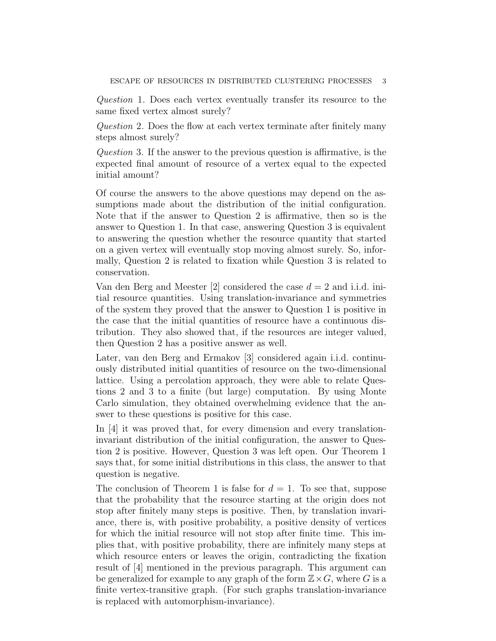*Question* 1*.* Does each vertex eventually transfer its resource to the same fixed vertex almost surely?

*Question* 2*.* Does the flow at each vertex terminate after finitely many steps almost surely?

*Question* 3*.* If the answer to the previous question is affirmative, is the expected final amount of resource of a vertex equal to the expected initial amount?

Of course the answers to the above questions may depend on the assumptions made about the distribution of the initial configuration. Note that if the answer to Question 2 is affirmative, then so is the answer to Question 1. In that case, answering Question 3 is equivalent to answering the question whether the resource quantity that started on a given vertex will eventually stop moving almost surely. So, informally, Question 2 is related to fixation while Question 3 is related to conservation.

Van den Berg and Meester [2] considered the case *d* = 2 and i.i.d. initial resource quantities. Using translation-invariance and symmetries of the system they proved that the answer to Question 1 is positive in the case that the initial quantities of resource have a continuous distribution. They also showed that, if the resources are integer valued, then Question 2 has a positive answer as well.

Later, van den Berg and Ermakov [3] considered again i.i.d. continuously distributed initial quantities of resource on the two-dimensional lattice. Using a percolation approach, they were able to relate Questions 2 and 3 to a finite (but large) computation. By using Monte Carlo simulation, they obtained overwhelming evidence that the answer to these questions is positive for this case.

In [4] it was proved that, for every dimension and every translationinvariant distribution of the initial configuration, the answer to Question 2 is positive. However, Question 3 was left open. Our Theorem 1 says that, for some initial distributions in this class, the answer to that question is negative.

The conclusion of Theorem 1 is false for  $d = 1$ . To see that, suppose that the probability that the resource starting at the origin does not stop after finitely many steps is positive. Then, by translation invariance, there is, with positive probability, a positive density of vertices for which the initial resource will not stop after finite time. This implies that, with positive probability, there are infinitely many steps at which resource enters or leaves the origin, contradicting the fixation result of [4] mentioned in the previous paragraph. This argument can be generalized for example to any graph of the form  $\mathbb{Z}\times G$ , where *G* is a finite vertex-transitive graph. (For such graphs translation-invariance is replaced with automorphism-invariance).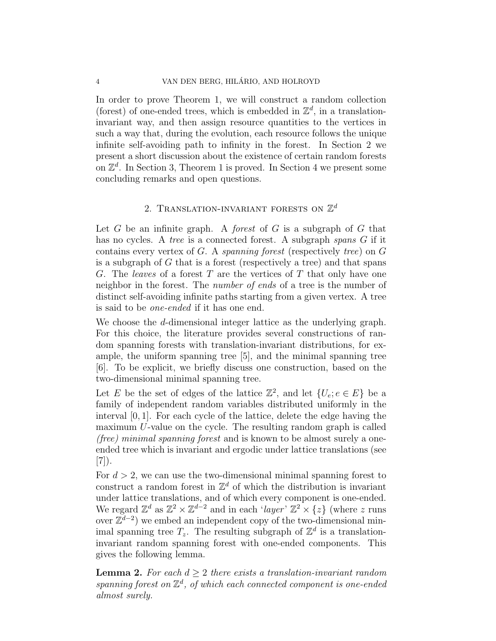In order to prove Theorem 1, we will construct a random collection (forest) of one-ended trees, which is embedded in  $\mathbb{Z}^d$ , in a translationinvariant way, and then assign resource quantities to the vertices in such a way that, during the evolution, each resource follows the unique infinite self-avoiding path to infinity in the forest. In Section 2 we present a short discussion about the existence of certain random forests on  $\mathbb{Z}^d$ . In Section 3, Theorem 1 is proved. In Section 4 we present some concluding remarks and open questions.

# 2. TRANSLATION-INVARIANT FORESTS ON  $\mathbb{Z}^d$

Let *G* be an infinite graph. A *forest* of *G* is a subgraph of *G* that has no cycles. A *tree* is a connected forest. A subgraph *spans G* if it contains every vertex of *G*. A *spanning forest* (respectively *tree*) on *G* is a subgraph of *G* that is a forest (respectively a tree) and that spans *G*. The *leaves* of a forest *T* are the vertices of *T* that only have one neighbor in the forest. The *number of ends* of a tree is the number of distinct self-avoiding infinite paths starting from a given vertex. A tree is said to be *one-ended* if it has one end.

We choose the *d*-dimensional integer lattice as the underlying graph. For this choice, the literature provides several constructions of random spanning forests with translation-invariant distributions, for example, the uniform spanning tree [5], and the minimal spanning tree [6]. To be explicit, we briefly discuss one construction, based on the two-dimensional minimal spanning tree.

Let *E* be the set of edges of the lattice  $\mathbb{Z}^2$ , and let  $\{U_e; e \in E\}$  be a family of independent random variables distributed uniformly in the interval [0*,* 1]. For each cycle of the lattice, delete the edge having the maximum *U*-value on the cycle. The resulting random graph is called *(free) minimal spanning forest* and is known to be almost surely a oneended tree which is invariant and ergodic under lattice translations (see [7]).

For  $d > 2$ , we can use the two-dimensional minimal spanning forest to construct a random forest in  $\mathbb{Z}^d$  of which the distribution is invariant under lattice translations, and of which every component is one-ended. We regard  $\mathbb{Z}^d$  as  $\mathbb{Z}^2 \times \mathbb{Z}^{d-2}$  and in each '*layer*'  $\mathbb{Z}^2 \times \{z\}$  (where *z* runs over  $\mathbb{Z}^{d-2}$ ) we embed an independent copy of the two-dimensional minimal spanning tree  $T_z$ . The resulting subgraph of  $\mathbb{Z}^d$  is a translationinvariant random spanning forest with one-ended components. This gives the following lemma.

**Lemma 2.** For each  $d \geq 2$  there exists a translation-invariant random *spanning forest on* Z *d , of which each connected component is one-ended almost surely.*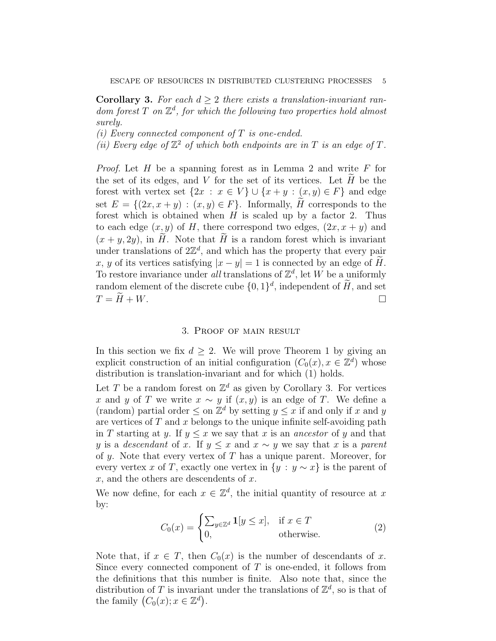**Corollary 3.** *For each d ≥* 2 *there exists a translation-invariant random forest T on* Z *d , for which the following two properties hold almost surely.*

*(i) Every connected component of T is one-ended.*

(*ii*) Every edge of  $\mathbb{Z}^2$  of which both endpoints are in  $T$  is an edge of  $T$ .

*Proof.* Let *H* be a spanning forest as in Lemma 2 and write *F* for the set of its edges, and  $V$  for the set of its vertices. Let  $H$  be the forest with vertex set  $\{2x : x \in V\} \cup \{x + y : (x, y) \in F\}$  and edge set  $E = \{(2x, x + y) : (x, y) \in F\}$ . Informally, *H* corresponds to the forest which is obtained when *H* is scaled up by a factor 2. Thus to each edge  $(x, y)$  of *H*, there correspond two edges,  $(2x, x + y)$  and  $(x + y, 2y)$ , in *H*. Note that *H* is a random forest which is invariant under translations of  $2\mathbb{Z}^d$ , and which has the property that every pair *x*, *y* of its vertices satisfying  $|x - y| = 1$  is connected by an edge of *H*. To restore invariance under *all* translations of  $\mathbb{Z}^d$ , let W be a uniformly random element of the discrete cube  $\{0,1\}^d$ , independent of  $H$ , and set  $T = \widetilde{H} + W$ .

#### 3. Proof of main result

In this section we fix  $d \geq 2$ . We will prove Theorem 1 by giving an explicit construction of an initial configuration  $(C_0(x), x \in \mathbb{Z}^d)$  whose distribution is translation-invariant and for which (1) holds.

Let *T* be a random forest on  $\mathbb{Z}^d$  as given by Corollary 3. For vertices *x* and *y* of *T* we write  $x \sim y$  if  $(x, y)$  is an edge of *T*. We define a (random) partial order  $\leq$  on  $\mathbb{Z}^d$  by setting  $y \leq x$  if and only if *x* and *y* are vertices of *T* and *x* belongs to the unique infinite self-avoiding path in *T* starting at *y*. If  $y \leq x$  we say that *x* is an *ancestor* of *y* and that *y* is a *descendant* of *x*. If  $y \leq x$  and  $x \sim y$  we say that *x* is a *parent* of *y*. Note that every vertex of *T* has a unique parent. Moreover, for every vertex *x* of *T*, exactly one vertex in  $\{y : y \sim x\}$  is the parent of *x*, and the others are descendents of *x*.

We now define, for each  $x \in \mathbb{Z}^d$ , the initial quantity of resource at x by:

$$
C_0(x) = \begin{cases} \sum_{y \in \mathbb{Z}^d} \mathbf{1}[y \le x], & \text{if } x \in T \\ 0, & \text{otherwise.} \end{cases}
$$
 (2)

Note that, if  $x \in T$ , then  $C_0(x)$  is the number of descendants of x. Since every connected component of *T* is one-ended, it follows from the definitions that this number is finite. Also note that, since the distribution of  $T$  is invariant under the translations of  $\mathbb{Z}^d$ , so is that of the family  $(C_0(x); x \in \mathbb{Z}^d)$ .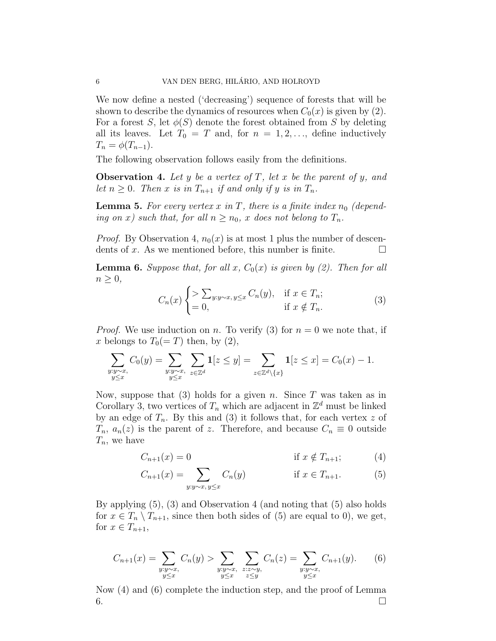We now define a nested ('decreasing') sequence of forests that will be shown to describe the dynamics of resources when  $C_0(x)$  is given by (2). For a forest *S*, let  $\phi(S)$  denote the forest obtained from *S* by deleting all its leaves. Let  $T_0 = T$  and, for  $n = 1, 2, \ldots$ , define inductively  $T_n = \phi(T_{n-1}).$ 

The following observation follows easily from the definitions.

**Observation 4.** *Let y be a vertex of T, let x be the parent of y, and let*  $n \geq 0$ *. Then x is in*  $T_{n+1}$  *if and only if y is in*  $T_n$ *.* 

**Lemma 5.** For every vertex  $x$  in  $T$ , there is a finite index  $n_0$  (depend*ing on x)* such that, for all  $n \geq n_0$ , *x* does not belong to  $T_n$ .

*Proof.* By Observation 4,  $n_0(x)$  is at most 1 plus the number of descendents of x. As we mentioned before, this number is finite.  $\Box$ 

**Lemma 6.** Suppose that, for all  $x$ ,  $C_0(x)$  is given by (2). Then for all *n ≥* 0*,*

$$
C_n(x) \begin{cases} \n> \sum_{y:y \sim x, y \le x} C_n(y), & \text{if } x \in T_n; \\
= 0, & \text{if } x \notin T_n. \n\end{cases} \n\tag{3}
$$

*Proof.* We use induction on *n*. To verify (3) for  $n = 0$  we note that, if x belongs to  $T_0(=T)$  then, by  $(2)$ ,

$$
\sum_{\substack{y:y\sim x,\\y\leq x}}C_0(y)=\sum_{\substack{y:y\sim x,\\y\leq x}}\sum_{z\in\mathbb{Z}^d}\mathbf{1}[z\leq y]=\sum_{z\in\mathbb{Z}^d\backslash\{x\}}\mathbf{1}[z\leq x]=C_0(x)-1.
$$

Now, suppose that (3) holds for a given *n*. Since *T* was taken as in Corollary 3, two vertices of  $T_n$  which are adjacent in  $\mathbb{Z}^d$  must be linked by an edge of  $T_n$ . By this and (3) it follows that, for each vertex  $z$  of *T<sub>n</sub>*,  $a_n(z)$  is the parent of *z*. Therefore, and because  $C_n \equiv 0$  outside *Tn*, we have

$$
C_{n+1}(x) = 0 \qquad \text{if } x \notin T_{n+1}; \qquad (4)
$$

$$
C_{n+1}(x) = \sum_{y:y \sim x, y \le x} C_n(y) \qquad \text{if } x \in T_{n+1}.
$$
 (5)

By applying (5), (3) and Observation 4 (and noting that (5) also holds for  $x \in T_n \setminus T_{n+1}$ , since then both sides of (5) are equal to 0), we get, for  $x \in T_{n+1}$ ,

$$
C_{n+1}(x) = \sum_{\substack{y:y \sim x, \\ y \le x}} C_n(y) > \sum_{\substack{y:y \sim x, \\ y \le x}} \sum_{\substack{z:z \sim y, \\ z \le y}} C_n(z) = \sum_{\substack{y:y \sim x, \\ y \le x}} C_{n+1}(y). \tag{6}
$$

Now (4) and (6) complete the induction step, and the proof of Lemma  $6.$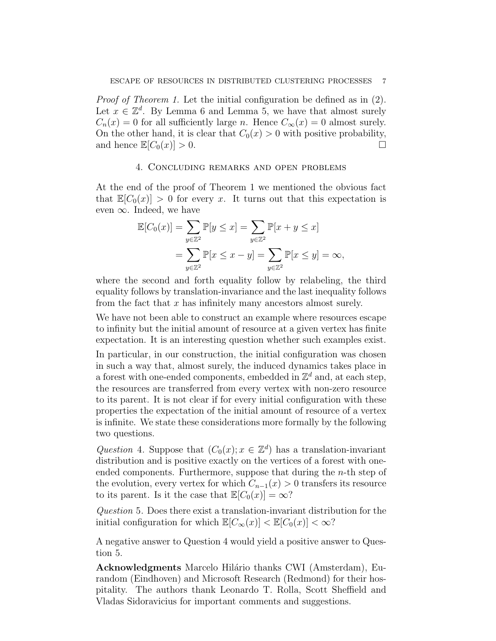*Proof of Theorem 1.* Let the initial configuration be defined as in (2). Let  $x \in \mathbb{Z}^d$ . By Lemma 6 and Lemma 5, we have that almost surely  $C_n(x) = 0$  for all sufficiently large *n*. Hence  $C_\infty(x) = 0$  almost surely. On the other hand, it is clear that  $C_0(x) > 0$  with positive probability, and hence  $\mathbb{E}|C_0(x)| > 0$ .

#### 4. Concluding remarks and open problems

At the end of the proof of Theorem 1 we mentioned the obvious fact that  $\mathbb{E}[C_0(x)] > 0$  for every *x*. It turns out that this expectation is even *∞*. Indeed, we have

$$
\mathbb{E}[C_0(x)] = \sum_{y \in \mathbb{Z}^2} \mathbb{P}[y \le x] = \sum_{y \in \mathbb{Z}^2} \mathbb{P}[x + y \le x]
$$
  
= 
$$
\sum_{y \in \mathbb{Z}^2} \mathbb{P}[x \le x - y] = \sum_{y \in \mathbb{Z}^2} \mathbb{P}[x \le y] = \infty,
$$

where the second and forth equality follow by relabeling, the third equality follows by translation-invariance and the last inequality follows from the fact that *x* has infinitely many ancestors almost surely.

We have not been able to construct an example where resources escape to infinity but the initial amount of resource at a given vertex has finite expectation. It is an interesting question whether such examples exist.

In particular, in our construction, the initial configuration was chosen in such a way that, almost surely, the induced dynamics takes place in a forest with one-ended components, embedded in  $\mathbb{Z}^d$  and, at each step, the resources are transferred from every vertex with non-zero resource to its parent. It is not clear if for every initial configuration with these properties the expectation of the initial amount of resource of a vertex is infinite. We state these considerations more formally by the following two questions.

*Question* 4*.* Suppose that  $(C_0(x); x \in \mathbb{Z}^d)$  has a translation-invariant distribution and is positive exactly on the vertices of a forest with oneended components. Furthermore, suppose that during the *n*-th step of the evolution, every vertex for which  $C_{n-1}(x) > 0$  transfers its resource to its parent. Is it the case that  $\mathbb{E}[C_0(x)] = \infty$ ?

*Question* 5*.* Does there exist a translation-invariant distribution for the initial configuration for which  $\mathbb{E}[C_{\infty}(x)] < \mathbb{E}[C_0(x)] < \infty$ ?

A negative answer to Question 4 would yield a positive answer to Question 5.

**Acknowledgments** Marcelo Hilário thanks CWI (Amsterdam), Eurandom (Eindhoven) and Microsoft Research (Redmond) for their hospitality. The authors thank Leonardo T. Rolla, Scott Sheffield and Vladas Sidoravicius for important comments and suggestions.